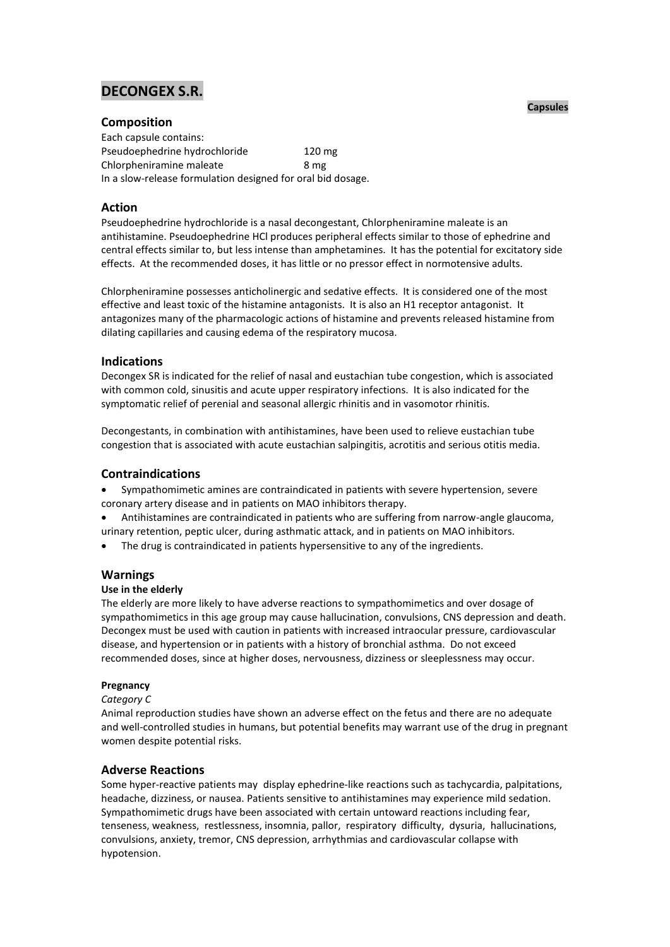# **DECONGEX S.R.**

# **Composition**

Each capsule contains: Pseudoephedrine hydrochloride 120 mg Chlorpheniramine maleate 8 mg In a slow-release formulation designed for oral bid dosage.

# **Action**

Pseudoephedrine hydrochloride is a nasal decongestant, Chlorpheniramine maleate is an antihistamine. Pseudoephedrine HCl produces peripheral effects similar to those of ephedrine and central effects similar to, but less intense than amphetamines. It has the potential for excitatory side effects. At the recommended doses, it has little or no pressor effect in normotensive adults.

Chlorpheniramine possesses anticholinergic and sedative effects. It is considered one of the most effective and least toxic of the histamine antagonists. It is also an H1 receptor antagonist. It antagonizes many of the pharmacologic actions of histamine and prevents released histamine from dilating capillaries and causing edema of the respiratory mucosa.

# **Indications**

Decongex SR is indicated for the relief of nasal and eustachian tube congestion, which is associated with common cold, sinusitis and acute upper respiratory infections. It is also indicated for the symptomatic relief of perenial and seasonal allergic rhinitis and in vasomotor rhinitis.

Decongestants, in combination with antihistamines, have been used to relieve eustachian tube congestion that is associated with acute eustachian salpingitis, acrotitis and serious otitis media.

# **Contraindications**

- Sympathomimetic amines are contraindicated in patients with severe hypertension, severe coronary artery disease and in patients on MAO inhibitors therapy.
- Antihistamines are contraindicated in patients who are suffering from narrow-angle glaucoma, urinary retention, peptic ulcer, during asthmatic attack, and in patients on MAO inhibitors.
- The drug is contraindicated in patients hypersensitive to any of the ingredients.

# **Warnings**

# **Use in the elderly**

The elderly are more likely to have adverse reactions to sympathomimetics and over dosage of sympathomimetics in this age group may cause hallucination, convulsions, CNS depression and death. Decongex must be used with caution in patients with increased intraocular pressure, cardiovascular disease, and hypertension or in patients with a history of bronchial asthma. Do not exceed recommended doses, since at higher doses, nervousness, dizziness or sleeplessness may occur.

# **Pregnancy**

#### *Category C*

Animal reproduction studies have shown an adverse effect on the fetus and there are no adequate and well-controlled studies in humans, but potential benefits may warrant use of the drug in pregnant women despite potential risks.

# **Adverse Reactions**

Some hyper-reactive patients may display ephedrine-like reactions such as tachycardia, palpitations, headache, dizziness, or nausea. Patients sensitive to antihistamines may experience mild sedation. Sympathomimetic drugs have been associated with certain untoward reactions including fear, tenseness, weakness, restlessness, insomnia, pallor, respiratory difficulty, dysuria, hallucinations, convulsions, anxiety, tremor, CNS depression, arrhythmias and cardiovascular collapse with hypotension.

#### **Capsules**